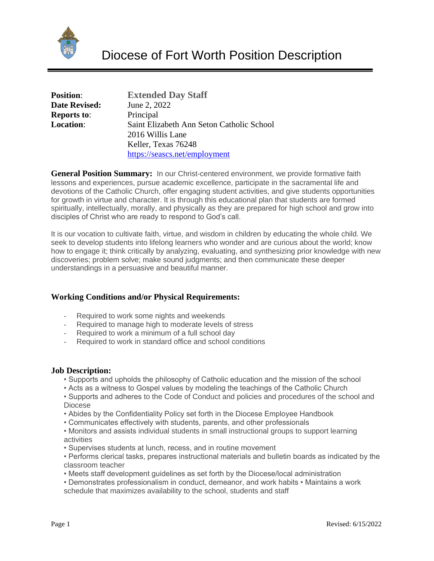

| <b>Position:</b>     | <b>Extended Day Staff</b>                 |
|----------------------|-------------------------------------------|
| <b>Date Revised:</b> | June 2, 2022                              |
| <b>Reports to:</b>   | Principal                                 |
| <b>Location:</b>     | Saint Elizabeth Ann Seton Catholic School |
|                      | 2016 Willis Lane                          |
|                      | Keller, Texas 76248                       |
|                      | https://seascs.net/employment             |

**General Position Summary:** In our Christ-centered environment, we provide formative faith lessons and experiences, pursue academic excellence, participate in the sacramental life and devotions of the Catholic Church, offer engaging student activities, and give students opportunities for growth in virtue and character. It is through this educational plan that students are formed spiritually, intellectually, morally, and physically as they are prepared for high school and grow into disciples of Christ who are ready to respond to God's call.

It is our vocation to cultivate faith, virtue, and wisdom in children by educating the whole child. We seek to develop students into lifelong learners who wonder and are curious about the world; know how to engage it; think critically by analyzing, evaluating, and synthesizing prior knowledge with new discoveries; problem solve; make sound judgments; and then communicate these deeper understandings in a persuasive and beautiful manner.

## **Working Conditions and/or Physical Requirements:**

- Required to work some nights and weekends
- Required to manage high to moderate levels of stress
- Required to work a minimum of a full school day
- Required to work in standard office and school conditions

## **Job Description:**

- Supports and upholds the philosophy of Catholic education and the mission of the school
- Acts as a witness to Gospel values by modeling the teachings of the Catholic Church
- Supports and adheres to the Code of Conduct and policies and procedures of the school and Diocese
- Abides by the Confidentiality Policy set forth in the Diocese Employee Handbook
- Communicates effectively with students, parents, and other professionals
- Monitors and assists individual students in small instructional groups to support learning activities
- Supervises students at lunch, recess, and in routine movement
- Performs clerical tasks, prepares instructional materials and bulletin boards as indicated by the classroom teacher
- Meets staff development guidelines as set forth by the Diocese/local administration
- Demonstrates professionalism in conduct, demeanor, and work habits Maintains a work schedule that maximizes availability to the school, students and staff